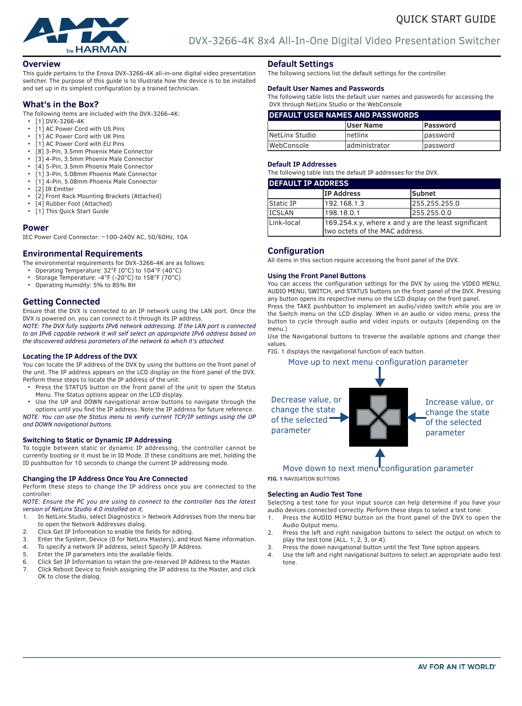

### **Overview**

This guide pertains to the Enova DVX-3266-4K all-in-one digital video presentation switcher. The purpose of this guide is to illustrate how the device is to be installed and set up in its simplest configuration by a trained technician.

## **What's in the Box?**

The following items are included with the DVX-3266-4K:

- [1] DVX-3266-4K
- [1] AC Power Cord with US Pins
- [1] AC Power Cord with UK Pins
- [1] AC Power Cord with EU Pins
- [8] 3-Pin, 3.5mm Phoenix Male Connector
- [3] 4-Pin, 3.5mm Phoenix Male Connector
- [4] 5-Pin, 3.5mm Phoenix Male Connector
- [1] 3-Pin, 5.08mm Phoenix Male Connector
- [1] 4-Pin, 5.08mm Phoenix Male Connector
- [2] IR Emitter
- [2] Front Rack Mounting Brackets (Attached)
- [4] Rubber Foot (Attached)<br>• [1] This Quick Start Guide
- [1] This Quick Start Guide

### **Power**

IEC Power Cord Connector: ~100-240V AC, 50/60Hz, 10A

# **Environmental Requirements**

- The environmental requirements for DVX-3266-4K are as follows:
	- Operating Temperature: 32°F (0°C) to 104°F (40°C)
	- Storage Temperature: -4°F (-20°C) to 158°F (70°C)
- Operating Humidity: 5% to 85% RH

# **Getting Connected**

Ensure that the DVX is connected to an IP network using the LAN port. Once the DVX is powered on, you can connect to it through its IP address.

*NOTE: The DVX fully supports IPv6 network addressing. If the LAN port is connected to an IPv6 capable network it will self select an appropriate IPv6 address based on the discovered address parameters of the network to which it's attached.*

#### **Locating the IP Address of the DVX**

You can locate the IP address of the DVX by using the buttons on the front panel of the unit. The IP address appears on the LCD display on the front panel of the DVX. Perform these steps to locate the IP address of the unit:

- Press the STATUS button on the front panel of the unit to open the Status Menu. The Status options appear on the LCD display.
- Use the UP and DOWN navigational arrow buttons to navigate through the options until you find the IP address. Note the IP address for future reference.

*NOTE: You can use the Status menu to verify current TCP/IP settings using the UP and DOWN navigational buttons.*

#### **Switching to Static or Dynamic IP Addressing**

To toggle between static or dynamic IP addressing, the controller cannot be currently booting or it must be in ID Mode. If these conditions are met, holding the ID pushbutton for 10 seconds to change the current IP addressing mode.

#### **Changing the IP Address Once You Are Connected**

Perform these steps to change the IP address once you are connected to the controller:

#### *NOTE: Ensure the PC you are using to connect to the controller has the latest version of NetLinx Studio 4.0 installed on it.*

- 1. In NetLinx Studio, select Diagnostics > Network Addresses from the menu bar to open the Network Addresses dialog.
- 2. Click Get IP Information to enable the fields for editing.<br>3 Foter the System Device (0 for NetLinx Masters) and H
- Enter the System, Device (0 for NetLinx Masters), and Host Name information.
- 4. To specify a network IP address, select Specify IP Address.
- 5. Enter the IP parameters into the available fields.
- 6. Click Set IP Information to retain the pre-reserved IP Address to the Master.
- 7. Click Reboot Device to finish assigning the IP address to the Master, and click OK to close the dialog.

## **Default Settings**

The following sections list the default settings for the controller.

#### **Default User Names and Passwords**

The following table lists the default user names and passwords for accessing the DVX through NetLinx Studio or the WebConsole

| <b>DEFAULT USER NAMES AND PASSWORDS</b> |                  |                  |  |  |  |
|-----------------------------------------|------------------|------------------|--|--|--|
|                                         | <b>User Name</b> | <b>Password</b>  |  |  |  |
| NetLinx Studio                          | Inetlinx         | lpassword        |  |  |  |
| lWebConsole                             | ladministrator   | <i>lpassword</i> |  |  |  |

#### **Default IP Addresses**

The following table lists the default IP addresses for the DVX.

| <b>IDEFAULT IP ADDRESS</b> |                                                                                        |               |  |  |  |
|----------------------------|----------------------------------------------------------------------------------------|---------------|--|--|--|
|                            | <b>IP Address</b>                                                                      | <b>Subnet</b> |  |  |  |
| Static IP                  | 192.168.1.3                                                                            | 255.255.255.0 |  |  |  |
| <b>ICSLAN</b>              | 198.18.0.1                                                                             | 255.255.0.0   |  |  |  |
| Link-local                 | 169.254.x.y, where x and y are the least significant<br>two octets of the MAC address. |               |  |  |  |

#### **Configuration**

All items in this section require accessing the front panel of the DVX.

#### **Using the Front Panel Buttons**

You can access the configuration settings for the DVX by using the VIDEO MENU, AUDIO MENU, SWITCH, and STATUS buttons on the front panel of the DVX. Pressing any button opens its respective menu on the LCD display on the front panel.

Press the TAKE pushbutton to implement an audio/video switch while you are in the Switch menu on the LCD display. When in an audio or video menu, press the button to cycle through audio and video inputs or outputs (depending on the menu.)

Use the Navigational buttons to traverse the available options and change their values.

FIG. 1 displays the navigational function of each button.

#### Move up to next menu configuration parameter



# Move down to next menu configuration parameter

**FIG. 1** NAVIGATION BUTTONS

#### **Selecting an Audio Test Tone**

Selecting a test tone for your input source can help determine if you have your audio devices connected correctly. Perform these steps to select a test tone:

- 1. Press the AUDIO MENU button on the front panel of the DVX to open the Audio Output menu.
- 2. Press the left and right navigation buttons to select the output on which to play the test tone (ALL, 1, 2, 3, or 4).
- 3. Press the down navigational button until the Test Tone option appears.
- 4. Use the left and right navigational buttons to select an appropriate audio test tone.